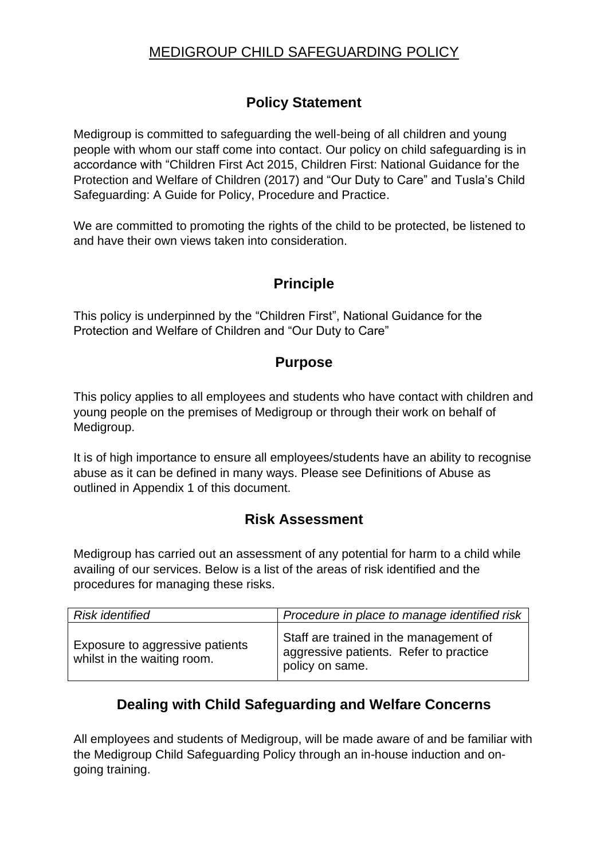# MEDIGROUP CHILD SAFEGUARDING POLICY

## **Policy Statement**

Medigroup is committed to safeguarding the well-being of all children and young people with whom our staff come into contact. Our policy on child safeguarding is in accordance with "Children First Act 2015, Children First: National Guidance for the Protection and Welfare of Children (2017) and "Our Duty to Care" and Tusla's Child Safeguarding: A Guide for Policy, Procedure and Practice.

We are committed to promoting the rights of the child to be protected, be listened to and have their own views taken into consideration.

### **Principle**

This policy is underpinned by the "Children First", National Guidance for the Protection and Welfare of Children and "Our Duty to Care"

### **Purpose**

This policy applies to all employees and students who have contact with children and young people on the premises of Medigroup or through their work on behalf of Medigroup.

It is of high importance to ensure all employees/students have an ability to recognise abuse as it can be defined in many ways. Please see Definitions of Abuse as outlined in Appendix 1 of this document.

## **Risk Assessment**

Medigroup has carried out an assessment of any potential for harm to a child while availing of our services. Below is a list of the areas of risk identified and the procedures for managing these risks.

| <b>Risk identified</b>                                         | Procedure in place to manage identified risk                                                        |
|----------------------------------------------------------------|-----------------------------------------------------------------------------------------------------|
| Exposure to aggressive patients<br>whilst in the waiting room. | Staff are trained in the management of<br>aggressive patients. Refer to practice<br>policy on same. |

## **Dealing with Child Safeguarding and Welfare Concerns**

All employees and students of Medigroup, will be made aware of and be familiar with the Medigroup Child Safeguarding Policy through an in-house induction and ongoing training.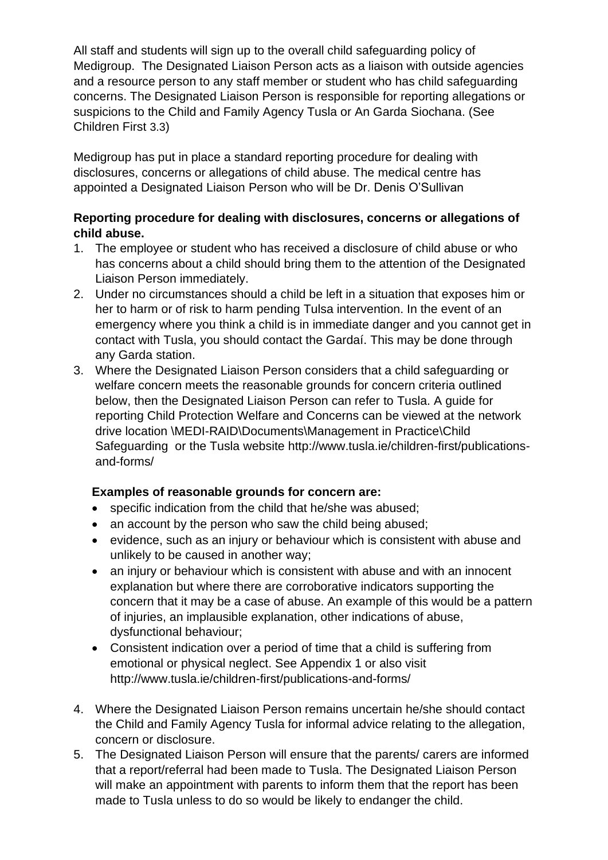All staff and students will sign up to the overall child safeguarding policy of Medigroup. The Designated Liaison Person acts as a liaison with outside agencies and a resource person to any staff member or student who has child safeguarding concerns. The Designated Liaison Person is responsible for reporting allegations or suspicions to the Child and Family Agency Tusla or An Garda Siochana. (See Children First 3.3)

Medigroup has put in place a standard reporting procedure for dealing with disclosures, concerns or allegations of child abuse. The medical centre has appointed a Designated Liaison Person who will be Dr. Denis O'Sullivan

#### **Reporting procedure for dealing with disclosures, concerns or allegations of child abuse.**

- 1. The employee or student who has received a disclosure of child abuse or who has concerns about a child should bring them to the attention of the Designated Liaison Person immediately.
- 2. Under no circumstances should a child be left in a situation that exposes him or her to harm or of risk to harm pending Tulsa intervention. In the event of an emergency where you think a child is in immediate danger and you cannot get in contact with Tusla, you should contact the Gardaí. This may be done through any Garda station.
- 3. Where the Designated Liaison Person considers that a child safeguarding or welfare concern meets the reasonable grounds for concern criteria outlined below, then the Designated Liaison Person can refer to Tusla. A guide for reporting Child Protection Welfare and Concerns can be viewed at the network drive location \MEDI-RAID\Documents\Management in Practice\Child Safeguarding or the Tusla website http://www.tusla.ie/children-first/publicationsand-forms/

### **Examples of reasonable grounds for concern are:**

- specific indication from the child that he/she was abused;
- an account by the person who saw the child being abused;
- evidence, such as an injury or behaviour which is consistent with abuse and unlikely to be caused in another way;
- an injury or behaviour which is consistent with abuse and with an innocent explanation but where there are corroborative indicators supporting the concern that it may be a case of abuse. An example of this would be a pattern of injuries, an implausible explanation, other indications of abuse, dysfunctional behaviour;
- Consistent indication over a period of time that a child is suffering from emotional or physical neglect. See Appendix 1 or also visit http://www.tusla.ie/children-first/publications-and-forms/
- 4. Where the Designated Liaison Person remains uncertain he/she should contact the Child and Family Agency Tusla for informal advice relating to the allegation, concern or disclosure.
- 5. The Designated Liaison Person will ensure that the parents/ carers are informed that a report/referral had been made to Tusla. The Designated Liaison Person will make an appointment with parents to inform them that the report has been made to Tusla unless to do so would be likely to endanger the child.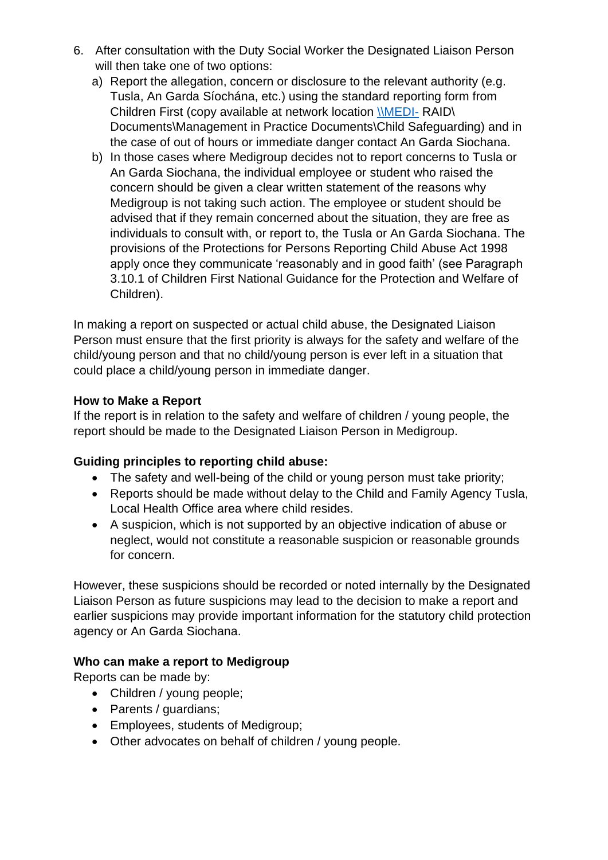- 6. After consultation with the Duty Social Worker the Designated Liaison Person will then take one of two options:
	- a) Report the allegation, concern or disclosure to the relevant authority (e.g. Tusla, An Garda Síochána, etc.) using the standard reporting form from Children First (copy available at network location [\\MEDI-](file://///MEDI-) RAID\ Documents\Management in Practice Documents\Child Safeguarding) and in the case of out of hours or immediate danger contact An Garda Siochana.
	- b) In those cases where Medigroup decides not to report concerns to Tusla or An Garda Siochana, the individual employee or student who raised the concern should be given a clear written statement of the reasons why Medigroup is not taking such action. The employee or student should be advised that if they remain concerned about the situation, they are free as individuals to consult with, or report to, the Tusla or An Garda Siochana. The provisions of the Protections for Persons Reporting Child Abuse Act 1998 apply once they communicate 'reasonably and in good faith' (see Paragraph 3.10.1 of Children First National Guidance for the Protection and Welfare of Children).

In making a report on suspected or actual child abuse, the Designated Liaison Person must ensure that the first priority is always for the safety and welfare of the child/young person and that no child/young person is ever left in a situation that could place a child/young person in immediate danger.

#### **How to Make a Report**

If the report is in relation to the safety and welfare of children / young people, the report should be made to the Designated Liaison Person in Medigroup.

#### **Guiding principles to reporting child abuse:**

- The safety and well-being of the child or young person must take priority;
- Reports should be made without delay to the Child and Family Agency Tusla, Local Health Office area where child resides.
- A suspicion, which is not supported by an objective indication of abuse or neglect, would not constitute a reasonable suspicion or reasonable grounds for concern.

However, these suspicions should be recorded or noted internally by the Designated Liaison Person as future suspicions may lead to the decision to make a report and earlier suspicions may provide important information for the statutory child protection agency or An Garda Siochana.

#### **Who can make a report to Medigroup**

Reports can be made by:

- Children / young people;
- Parents / guardians;
- Employees, students of Medigroup;
- Other advocates on behalf of children / young people.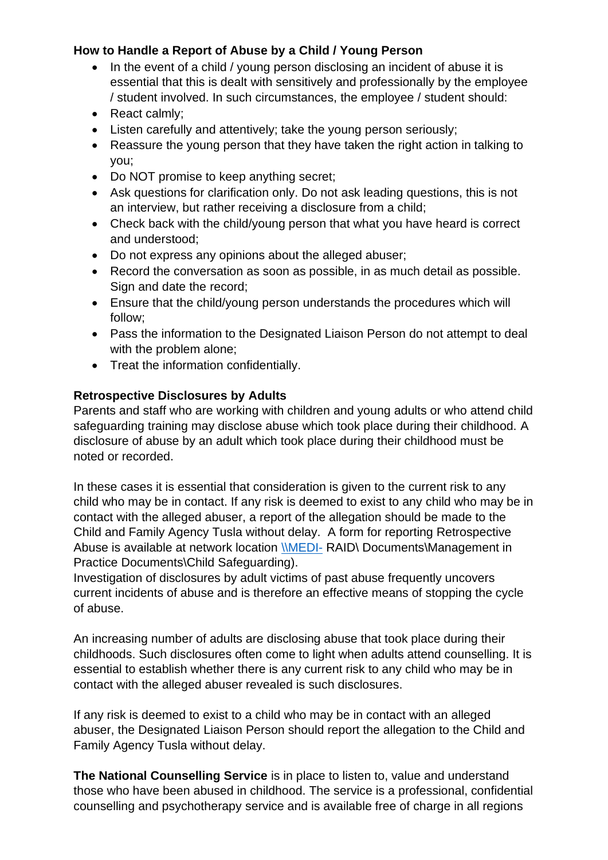### **How to Handle a Report of Abuse by a Child / Young Person**

- In the event of a child / young person disclosing an incident of abuse it is essential that this is dealt with sensitively and professionally by the employee / student involved. In such circumstances, the employee / student should:
- React calmly;
- Listen carefully and attentively: take the young person seriously:
- Reassure the young person that they have taken the right action in talking to you;
- Do NOT promise to keep anything secret;
- Ask questions for clarification only. Do not ask leading questions, this is not an interview, but rather receiving a disclosure from a child;
- Check back with the child/young person that what you have heard is correct and understood;
- Do not express any opinions about the alleged abuser;
- Record the conversation as soon as possible, in as much detail as possible. Sign and date the record;
- Ensure that the child/young person understands the procedures which will follow;
- Pass the information to the Designated Liaison Person do not attempt to deal with the problem alone;
- Treat the information confidentially.

### **Retrospective Disclosures by Adults**

Parents and staff who are working with children and young adults or who attend child safeguarding training may disclose abuse which took place during their childhood. A disclosure of abuse by an adult which took place during their childhood must be noted or recorded.

In these cases it is essential that consideration is given to the current risk to any child who may be in contact. If any risk is deemed to exist to any child who may be in contact with the alleged abuser, a report of the allegation should be made to the Child and Family Agency Tusla without delay. A form for reporting Retrospective Abuse is available at network location [\\MEDI-](file://///MEDI-) RAID\ Documents\Management in Practice Documents\Child Safeguarding).

Investigation of disclosures by adult victims of past abuse frequently uncovers current incidents of abuse and is therefore an effective means of stopping the cycle of abuse.

An increasing number of adults are disclosing abuse that took place during their childhoods. Such disclosures often come to light when adults attend counselling. It is essential to establish whether there is any current risk to any child who may be in contact with the alleged abuser revealed is such disclosures.

If any risk is deemed to exist to a child who may be in contact with an alleged abuser, the Designated Liaison Person should report the allegation to the Child and Family Agency Tusla without delay.

**The National Counselling Service** is in place to listen to, value and understand those who have been abused in childhood. The service is a professional, confidential counselling and psychotherapy service and is available free of charge in all regions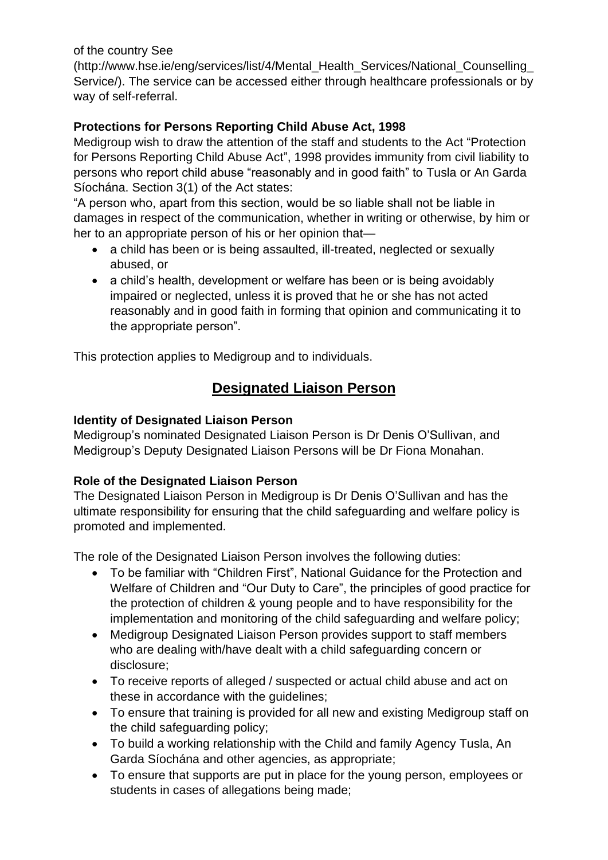of the country See

(http://www.hse.ie/eng/services/list/4/Mental\_Health\_Services/National\_Counselling\_ Service/). The service can be accessed either through healthcare professionals or by way of self-referral.

### **Protections for Persons Reporting Child Abuse Act, 1998**

Medigroup wish to draw the attention of the staff and students to the Act "Protection for Persons Reporting Child Abuse Act", 1998 provides immunity from civil liability to persons who report child abuse "reasonably and in good faith" to Tusla or An Garda Síochána. Section 3(1) of the Act states:

"A person who, apart from this section, would be so liable shall not be liable in damages in respect of the communication, whether in writing or otherwise, by him or her to an appropriate person of his or her opinion that—

- a child has been or is being assaulted, ill-treated, neglected or sexually abused, or
- a child's health, development or welfare has been or is being avoidably impaired or neglected, unless it is proved that he or she has not acted reasonably and in good faith in forming that opinion and communicating it to the appropriate person".

This protection applies to Medigroup and to individuals.

## **Designated Liaison Person**

### **Identity of Designated Liaison Person**

Medigroup's nominated Designated Liaison Person is Dr Denis O'Sullivan, and Medigroup's Deputy Designated Liaison Persons will be Dr Fiona Monahan.

#### **Role of the Designated Liaison Person**

The Designated Liaison Person in Medigroup is Dr Denis O'Sullivan and has the ultimate responsibility for ensuring that the child safeguarding and welfare policy is promoted and implemented.

The role of the Designated Liaison Person involves the following duties:

- To be familiar with "Children First", National Guidance for the Protection and Welfare of Children and "Our Duty to Care", the principles of good practice for the protection of children & young people and to have responsibility for the implementation and monitoring of the child safeguarding and welfare policy;
- Medigroup Designated Liaison Person provides support to staff members who are dealing with/have dealt with a child safeguarding concern or disclosure;
- To receive reports of alleged / suspected or actual child abuse and act on these in accordance with the guidelines;
- To ensure that training is provided for all new and existing Medigroup staff on the child safeguarding policy;
- To build a working relationship with the Child and family Agency Tusla, An Garda Síochána and other agencies, as appropriate;
- To ensure that supports are put in place for the young person, employees or students in cases of allegations being made;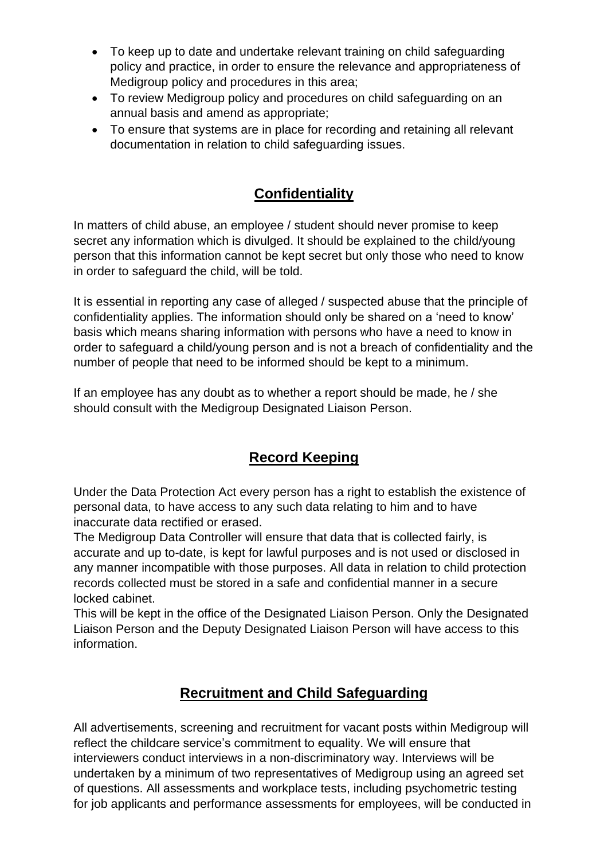- To keep up to date and undertake relevant training on child safeguarding policy and practice, in order to ensure the relevance and appropriateness of Medigroup policy and procedures in this area;
- To review Medigroup policy and procedures on child safeguarding on an annual basis and amend as appropriate;
- To ensure that systems are in place for recording and retaining all relevant documentation in relation to child safeguarding issues.

# **Confidentiality**

In matters of child abuse, an employee / student should never promise to keep secret any information which is divulged. It should be explained to the child/young person that this information cannot be kept secret but only those who need to know in order to safeguard the child, will be told.

It is essential in reporting any case of alleged / suspected abuse that the principle of confidentiality applies. The information should only be shared on a 'need to know' basis which means sharing information with persons who have a need to know in order to safeguard a child/young person and is not a breach of confidentiality and the number of people that need to be informed should be kept to a minimum.

If an employee has any doubt as to whether a report should be made, he / she should consult with the Medigroup Designated Liaison Person.

# **Record Keeping**

Under the Data Protection Act every person has a right to establish the existence of personal data, to have access to any such data relating to him and to have inaccurate data rectified or erased.

The Medigroup Data Controller will ensure that data that is collected fairly, is accurate and up to-date, is kept for lawful purposes and is not used or disclosed in any manner incompatible with those purposes. All data in relation to child protection records collected must be stored in a safe and confidential manner in a secure locked cabinet.

This will be kept in the office of the Designated Liaison Person. Only the Designated Liaison Person and the Deputy Designated Liaison Person will have access to this information.

# **Recruitment and Child Safeguarding**

All advertisements, screening and recruitment for vacant posts within Medigroup will reflect the childcare service's commitment to equality. We will ensure that interviewers conduct interviews in a non-discriminatory way. Interviews will be undertaken by a minimum of two representatives of Medigroup using an agreed set of questions. All assessments and workplace tests, including psychometric testing for job applicants and performance assessments for employees, will be conducted in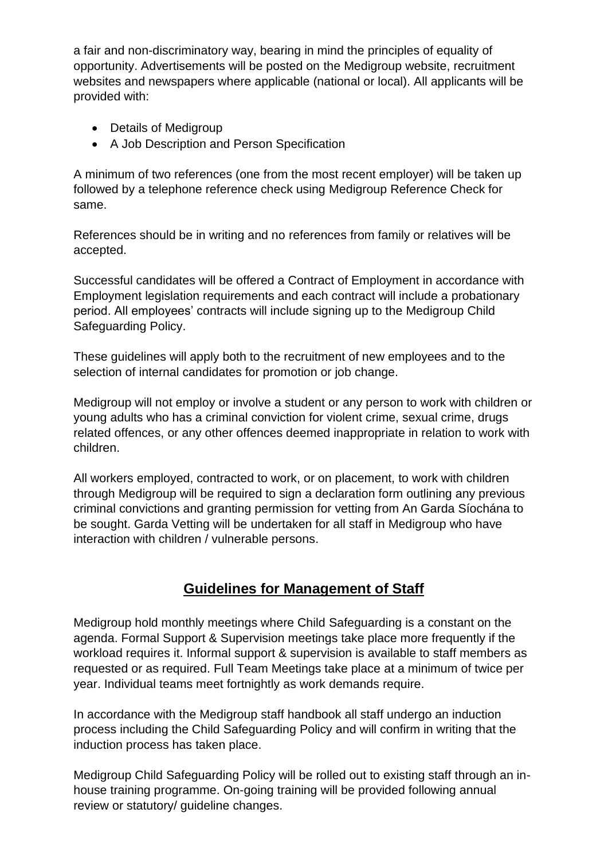a fair and non-discriminatory way, bearing in mind the principles of equality of opportunity. Advertisements will be posted on the Medigroup website, recruitment websites and newspapers where applicable (national or local). All applicants will be provided with:

- Details of Medigroup
- A Job Description and Person Specification

A minimum of two references (one from the most recent employer) will be taken up followed by a telephone reference check using Medigroup Reference Check for same.

References should be in writing and no references from family or relatives will be accepted.

Successful candidates will be offered a Contract of Employment in accordance with Employment legislation requirements and each contract will include a probationary period. All employees' contracts will include signing up to the Medigroup Child Safeguarding Policy.

These guidelines will apply both to the recruitment of new employees and to the selection of internal candidates for promotion or job change.

Medigroup will not employ or involve a student or any person to work with children or young adults who has a criminal conviction for violent crime, sexual crime, drugs related offences, or any other offences deemed inappropriate in relation to work with children.

All workers employed, contracted to work, or on placement, to work with children through Medigroup will be required to sign a declaration form outlining any previous criminal convictions and granting permission for vetting from An Garda Síochána to be sought. Garda Vetting will be undertaken for all staff in Medigroup who have interaction with children / vulnerable persons.

## **Guidelines for Management of Staff**

Medigroup hold monthly meetings where Child Safeguarding is a constant on the agenda. Formal Support & Supervision meetings take place more frequently if the workload requires it. Informal support & supervision is available to staff members as requested or as required. Full Team Meetings take place at a minimum of twice per year. Individual teams meet fortnightly as work demands require.

In accordance with the Medigroup staff handbook all staff undergo an induction process including the Child Safeguarding Policy and will confirm in writing that the induction process has taken place.

Medigroup Child Safeguarding Policy will be rolled out to existing staff through an inhouse training programme. On-going training will be provided following annual review or statutory/ guideline changes.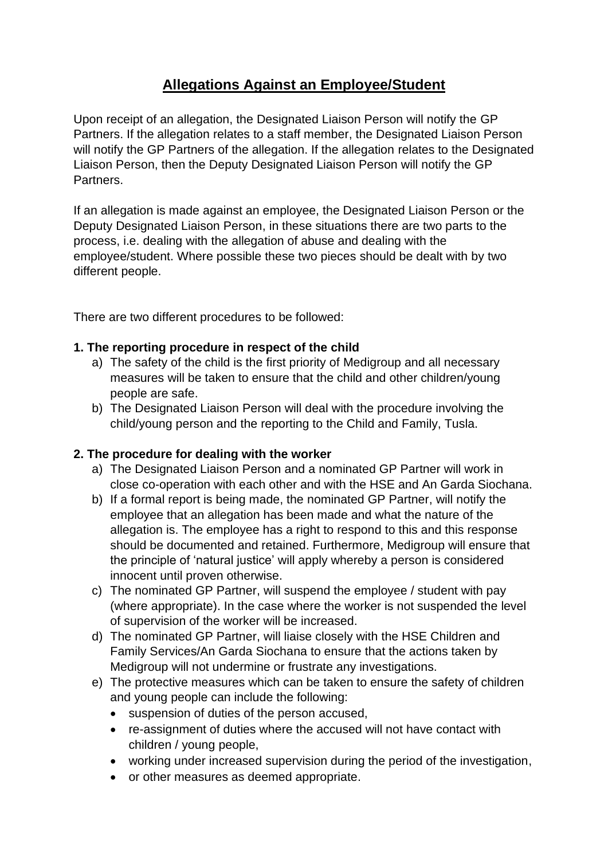# **Allegations Against an Employee/Student**

Upon receipt of an allegation, the Designated Liaison Person will notify the GP Partners. If the allegation relates to a staff member, the Designated Liaison Person will notify the GP Partners of the allegation. If the allegation relates to the Designated Liaison Person, then the Deputy Designated Liaison Person will notify the GP Partners.

If an allegation is made against an employee, the Designated Liaison Person or the Deputy Designated Liaison Person, in these situations there are two parts to the process, i.e. dealing with the allegation of abuse and dealing with the employee/student. Where possible these two pieces should be dealt with by two different people.

There are two different procedures to be followed:

#### **1. The reporting procedure in respect of the child**

- a) The safety of the child is the first priority of Medigroup and all necessary measures will be taken to ensure that the child and other children/young people are safe.
- b) The Designated Liaison Person will deal with the procedure involving the child/young person and the reporting to the Child and Family, Tusla.

#### **2. The procedure for dealing with the worker**

- a) The Designated Liaison Person and a nominated GP Partner will work in close co-operation with each other and with the HSE and An Garda Siochana.
- b) If a formal report is being made, the nominated GP Partner, will notify the employee that an allegation has been made and what the nature of the allegation is. The employee has a right to respond to this and this response should be documented and retained. Furthermore, Medigroup will ensure that the principle of 'natural justice' will apply whereby a person is considered innocent until proven otherwise.
- c) The nominated GP Partner, will suspend the employee / student with pay (where appropriate). In the case where the worker is not suspended the level of supervision of the worker will be increased.
- d) The nominated GP Partner, will liaise closely with the HSE Children and Family Services/An Garda Siochana to ensure that the actions taken by Medigroup will not undermine or frustrate any investigations.
- e) The protective measures which can be taken to ensure the safety of children and young people can include the following:
	- suspension of duties of the person accused,
	- re-assignment of duties where the accused will not have contact with children / young people,
	- working under increased supervision during the period of the investigation,
	- or other measures as deemed appropriate.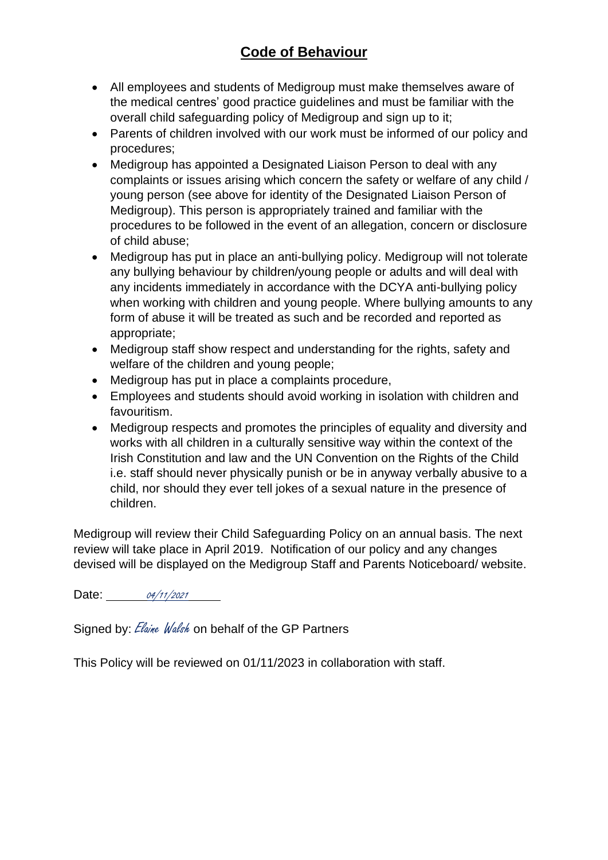# **Code of Behaviour**

- All employees and students of Medigroup must make themselves aware of the medical centres' good practice guidelines and must be familiar with the overall child safeguarding policy of Medigroup and sign up to it;
- Parents of children involved with our work must be informed of our policy and procedures;
- Medigroup has appointed a Designated Liaison Person to deal with any complaints or issues arising which concern the safety or welfare of any child / young person (see above for identity of the Designated Liaison Person of Medigroup). This person is appropriately trained and familiar with the procedures to be followed in the event of an allegation, concern or disclosure of child abuse;
- Medigroup has put in place an anti-bullying policy. Medigroup will not tolerate any bullying behaviour by children/young people or adults and will deal with any incidents immediately in accordance with the DCYA anti-bullying policy when working with children and young people. Where bullying amounts to any form of abuse it will be treated as such and be recorded and reported as appropriate;
- Medigroup staff show respect and understanding for the rights, safety and welfare of the children and young people;
- Medigroup has put in place a complaints procedure,
- Employees and students should avoid working in isolation with children and favouritism.
- Medigroup respects and promotes the principles of equality and diversity and works with all children in a culturally sensitive way within the context of the Irish Constitution and law and the UN Convention on the Rights of the Child i.e. staff should never physically punish or be in anyway verbally abusive to a child, nor should they ever tell jokes of a sexual nature in the presence of children.

Medigroup will review their Child Safeguarding Policy on an annual basis. The next review will take place in April 2019. Notification of our policy and any changes devised will be displayed on the Medigroup Staff and Parents Noticeboard/ website.

Date: 04/11/2021

Signed by: Elaine Walsh on behalf of the GP Partners

This Policy will be reviewed on 01/11/2023 in collaboration with staff.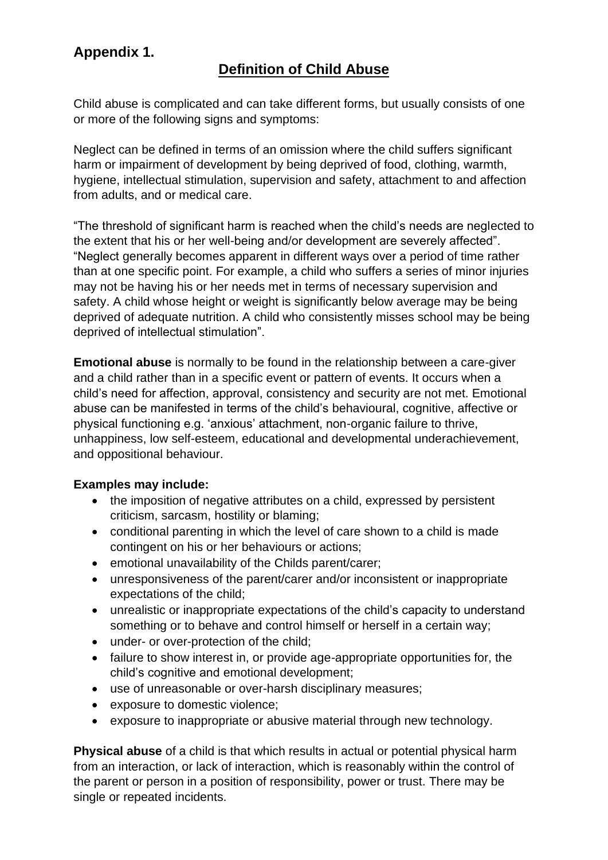# **Appendix 1.**

## **Definition of Child Abuse**

Child abuse is complicated and can take different forms, but usually consists of one or more of the following signs and symptoms:

Neglect can be defined in terms of an omission where the child suffers significant harm or impairment of development by being deprived of food, clothing, warmth, hygiene, intellectual stimulation, supervision and safety, attachment to and affection from adults, and or medical care.

"The threshold of significant harm is reached when the child's needs are neglected to the extent that his or her well-being and/or development are severely affected". "Neglect generally becomes apparent in different ways over a period of time rather than at one specific point. For example, a child who suffers a series of minor injuries may not be having his or her needs met in terms of necessary supervision and safety. A child whose height or weight is significantly below average may be being deprived of adequate nutrition. A child who consistently misses school may be being deprived of intellectual stimulation".

**Emotional abuse** is normally to be found in the relationship between a care-giver and a child rather than in a specific event or pattern of events. It occurs when a child's need for affection, approval, consistency and security are not met. Emotional abuse can be manifested in terms of the child's behavioural, cognitive, affective or physical functioning e.g. 'anxious' attachment, non-organic failure to thrive, unhappiness, low self-esteem, educational and developmental underachievement, and oppositional behaviour.

#### **Examples may include:**

- the imposition of negative attributes on a child, expressed by persistent criticism, sarcasm, hostility or blaming;
- conditional parenting in which the level of care shown to a child is made contingent on his or her behaviours or actions;
- emotional unavailability of the Childs parent/carer;
- unresponsiveness of the parent/carer and/or inconsistent or inappropriate expectations of the child;
- unrealistic or inappropriate expectations of the child's capacity to understand something or to behave and control himself or herself in a certain way;
- under- or over-protection of the child;
- failure to show interest in, or provide age-appropriate opportunities for, the child's cognitive and emotional development;
- use of unreasonable or over-harsh disciplinary measures;
- exposure to domestic violence;
- exposure to inappropriate or abusive material through new technology.

**Physical abuse** of a child is that which results in actual or potential physical harm from an interaction, or lack of interaction, which is reasonably within the control of the parent or person in a position of responsibility, power or trust. There may be single or repeated incidents.